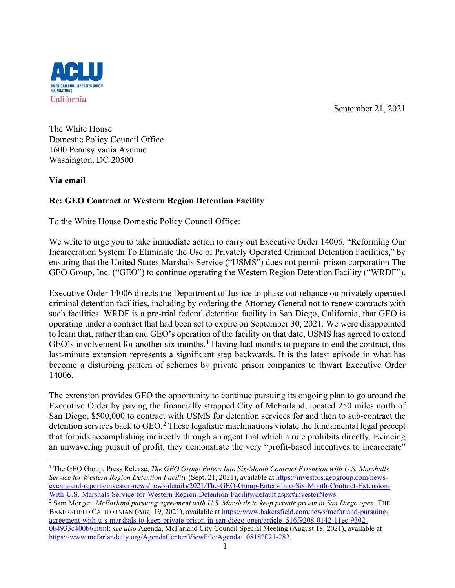September 21, 2021



The White House Domestic Policy Council Office 1600 Pennsylvania Avenue Washington, DC 20500

**Via email**

# **Re: GEO Contract at Western Region Detention Facility**

To the White House Domestic Policy Council Office:

We write to urge you to take immediate action to carry out Executive Order 14006, "Reforming Our Incarceration System To Eliminate the Use of Privately Operated Criminal Detention Facilities," by ensuring that the United States Marshals Service ("USMS") does not permit prison corporation The GEO Group, Inc. ("GEO") to continue operating the Western Region Detention Facility ("WRDF").

Executive Order 14006 directs the Department of Justice to phase out reliance on privately operated criminal detention facilities, including by ordering the Attorney General not to renew contracts with such facilities. WRDF is a pre-trial federal detention facility in San Diego, California, that GEO is operating under a contract that had been set to expire on September 30, 2021. We were disappointed to learn that, rather than end GEO's operation of the facility on that date, USMS has agreed to extend GEO's involvement for another six months.<sup>[1](#page-0-0)</sup> Having had months to prepare to end the contract, this last-minute extension represents a significant step backwards. It is the latest episode in what has become a disturbing pattern of schemes by private prison companies to thwart Executive Order 14006.

The extension provides GEO the opportunity to continue pursuing its ongoing plan to go around the Executive Order by paying the financially strapped City of McFarland, located 250 miles north of San Diego, \$500,000 to contract with USMS for detention services for and then to sub-contract the detention services back to GEO.<sup>[2](#page-0-1)</sup> These legalistic machinations violate the fundamental legal precept that forbids accomplishing indirectly through an agent that which a rule prohibits directly. Evincing an unwavering pursuit of profit, they demonstrate the very "profit-based incentives to incarcerate"

<span id="page-0-0"></span><sup>1</sup> The GEO Group, Press Release, *The GEO Group Enters Into Six-Month Contract Extension with U.S. Marshalls Service for Western Region Detention Facility* (Sept. 21, 2021), available at [https://investors.geogroup.com/news](https://investors.geogroup.com/news-events-and-reports/investor-news/news-details/2021/The-GEO-Group-Enters-Into-Six-Month-Contract-Extension-With-U.S.-Marshals-Service-for-Western-Region-Detention-Facility/default.aspx#investorNews)[events-and-reports/investor-news/news-details/2021/The-GEO-Group-Enters-Into-Six-Month-Contract-Extension-](https://investors.geogroup.com/news-events-and-reports/investor-news/news-details/2021/The-GEO-Group-Enters-Into-Six-Month-Contract-Extension-With-U.S.-Marshals-Service-for-Western-Region-Detention-Facility/default.aspx#investorNews)[With-U.S.-Marshals-Service-for-Western-Region-Detention-Facility/default.aspx#investorNews.](https://investors.geogroup.com/news-events-and-reports/investor-news/news-details/2021/The-GEO-Group-Enters-Into-Six-Month-Contract-Extension-With-U.S.-Marshals-Service-for-Western-Region-Detention-Facility/default.aspx#investorNews)

<span id="page-0-1"></span><sup>2</sup> Sam Morgen, *McFarland pursuing agreement with U.S. Marshals to keep private prison in San Diego open*, THE BAKERSFIELD CALIFORNIAN (Aug. 19, 2021), available at [https://www.bakersfield.com/news/mcfarland-pursuing](https://www.bakersfield.com/news/mcfarland-pursuing-agreement-with-u-s-marshals-to-keep-private-prison-in-san-diego-open/article_516f9208-0142-11ec-9302-0b4933c400b6.html)[agreement-with-u-s-marshals-to-keep-private-prison-in-san-diego-open/article\\_516f9208-0142-11ec-9302-](https://www.bakersfield.com/news/mcfarland-pursuing-agreement-with-u-s-marshals-to-keep-private-prison-in-san-diego-open/article_516f9208-0142-11ec-9302-0b4933c400b6.html) [0b4933c400b6.html;](https://www.bakersfield.com/news/mcfarland-pursuing-agreement-with-u-s-marshals-to-keep-private-prison-in-san-diego-open/article_516f9208-0142-11ec-9302-0b4933c400b6.html) *see also* Agenda, McFarland City Council Special Meeting (August 18, 2021), available at [https://www.mcfarlandcity.org/AgendaCenter/ViewFile/Agenda/\\_08182021-282.](https://www.mcfarlandcity.org/AgendaCenter/ViewFile/Agenda/_08182021-282)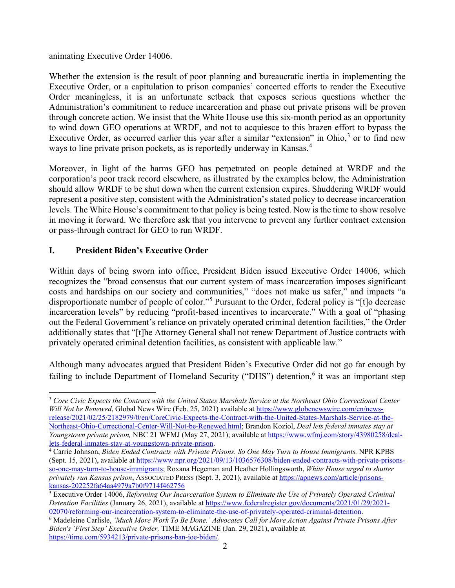animating Executive Order 14006.

Whether the extension is the result of poor planning and bureaucratic inertia in implementing the Executive Order, or a capitulation to prison companies' concerted efforts to render the Executive Order meaningless, it is an unfortunate setback that exposes serious questions whether the Administration's commitment to reduce incarceration and phase out private prisons will be proven through concrete action. We insist that the White House use this six-month period as an opportunity to wind down GEO operations at WRDF, and not to acquiesce to this brazen effort to bypass the Executive Order, as occurred earlier this year after a similar "extension" in Ohio, $3$  or to find new ways to line private prison pockets, as is reportedly underway in Kansas.<sup>[4](#page-1-1)</sup>

Moreover, in light of the harms GEO has perpetrated on people detained at WRDF and the corporation's poor track record elsewhere, as illustrated by the examples below, the Administration should allow WRDF to be shut down when the current extension expires. Shuddering WRDF would represent a positive step, consistent with the Administration's stated policy to decrease incarceration levels. The White House's commitment to that policy is being tested. Now is the time to show resolve in moving it forward. We therefore ask that you intervene to prevent any further contract extension or pass-through contract for GEO to run WRDF.

## **I. President Biden's Executive Order**

Within days of being sworn into office, President Biden issued Executive Order 14006, which recognizes the "broad consensus that our current system of mass incarceration imposes significant costs and hardships on our society and communities," "does not make us safer," and impacts "a disproportionate number of people of color."[5](#page-1-2) Pursuant to the Order, federal policy is "[t]o decrease incarceration levels" by reducing "profit-based incentives to incarcerate." With a goal of "phasing out the Federal Government's reliance on privately operated criminal detention facilities," the Order additionally states that "[t]he Attorney General shall not renew Department of Justice contracts with privately operated criminal detention facilities, as consistent with applicable law."

Although many advocates argued that President Biden's Executive Order did not go far enough by failing to include Department of Homeland Security ("DHS") detention,<sup>[6](#page-1-3)</sup> it was an important step

<span id="page-1-0"></span><sup>3</sup> *Core Civic Expects the Contract with the United States Marshals Service at the Northeast Ohio Correctional Center Will Not be Renewed*, Global News Wire (Feb. 25, 2021) available at [https://www.globenewswire.com/en/news](https://www.globenewswire.com/en/news-release/2021/02/25/2182979/0/en/CoreCivic-Expects-the-Contract-with-the-United-States-Marshals-Service-at-the-Northeast-Ohio-Correctional-Center-Will-Not-be-Renewed.html)[release/2021/02/25/2182979/0/en/CoreCivic-Expects-the-Contract-with-the-United-States-Marshals-Service-at-the-](https://www.globenewswire.com/en/news-release/2021/02/25/2182979/0/en/CoreCivic-Expects-the-Contract-with-the-United-States-Marshals-Service-at-the-Northeast-Ohio-Correctional-Center-Will-Not-be-Renewed.html)[Northeast-Ohio-Correctional-Center-Will-Not-be-Renewed.html;](https://www.globenewswire.com/en/news-release/2021/02/25/2182979/0/en/CoreCivic-Expects-the-Contract-with-the-United-States-Marshals-Service-at-the-Northeast-Ohio-Correctional-Center-Will-Not-be-Renewed.html) Brandon Koziol, *Deal lets federal inmates stay at Youngstown private prison,* NBC 21 WFMJ (May 27, 2021); available a[t https://www.wfmj.com/story/43980258/deal](https://www.wfmj.com/story/43980258/deal-lets-federal-inmates-stay-at-youngstown-private-prison)[lets-federal-inmates-stay-at-youngstown-private-prison.](https://www.wfmj.com/story/43980258/deal-lets-federal-inmates-stay-at-youngstown-private-prison)

<span id="page-1-1"></span><sup>4</sup> Carrie Johnson, *Biden Ended Contracts with Private Prisons. So One May Turn to House Immigrants.* NPR KPBS (Sept. 15, 2021), available a[t https://www.npr.org/2021/09/13/1036576308/biden-ended-contracts-with-private-prisons](https://www.npr.org/2021/09/13/1036576308/biden-ended-contracts-with-private-prisons-so-one-may-turn-to-house-immigrants)[so-one-may-turn-to-house-immigrants;](https://www.npr.org/2021/09/13/1036576308/biden-ended-contracts-with-private-prisons-so-one-may-turn-to-house-immigrants) Roxana Hegeman and Heather Hollingsworth, *White House urged to shutter privately run Kansas prison*, ASSOCIATED PRESS (Sept. 3, 2021), available at [https://apnews.com/article/prisons](https://apnews.com/article/prisons-kansas-202252fa64aa4979a7b0f9714f462756)[kansas-202252fa64aa4979a7b0f9714f462756](https://apnews.com/article/prisons-kansas-202252fa64aa4979a7b0f9714f462756)

<span id="page-1-2"></span><sup>5</sup> Executive Order 14006, *Reforming Our Incarceration System to Eliminate the Use of Privately Operated Criminal Detention Facilities* (January 26, 2021), available at [https://www.federalregister.gov/documents/2021/01/29/2021-](https://www.federalregister.gov/documents/2021/01/29/2021-02070/reforming-our-incarceration-system-to-eliminate-the-use-of-privately-operated-criminal-detention) [02070/reforming-our-incarceration-system-to-eliminate-the-use-of-privately-operated-criminal-detention.](https://www.federalregister.gov/documents/2021/01/29/2021-02070/reforming-our-incarceration-system-to-eliminate-the-use-of-privately-operated-criminal-detention) 6 Madeleine Carlisle, *'Much More Work To Be Done.' Advocates Call for More Action Against Private Prisons After* 

<span id="page-1-3"></span>*Biden's 'First Step' Executive Order,* TIME MAGAZINE (Jan. 29, 2021), available at [https://time.com/5934213/private-prisons-ban-joe-biden/.](https://time.com/5934213/private-prisons-ban-joe-biden/)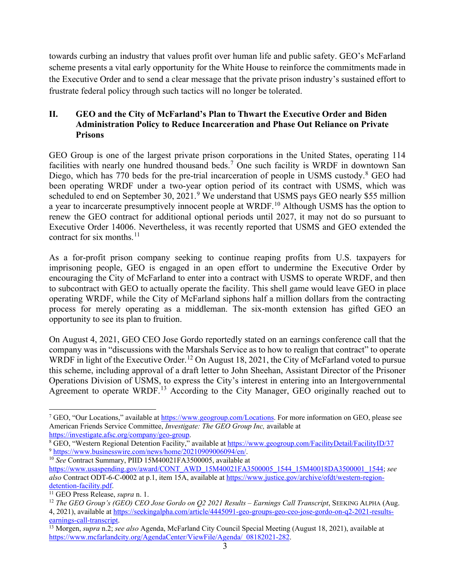towards curbing an industry that values profit over human life and public safety. GEO's McFarland scheme presents a vital early opportunity for the White House to reinforce the commitments made in the Executive Order and to send a clear message that the private prison industry's sustained effort to frustrate federal policy through such tactics will no longer be tolerated.

## **II. GEO and the City of McFarland's Plan to Thwart the Executive Order and Biden Administration Policy to Reduce Incarceration and Phase Out Reliance on Private Prisons**

GEO Group is one of the largest private prison corporations in the United States, operating 114 facilities with nearly one hundred thousand beds.<sup>[7](#page-2-0)</sup> One such facility is WRDF in downtown San Diego, which has 770 beds for the pre-trial incarceration of people in USMS custody.<sup>[8](#page-2-1)</sup> GEO had been operating WRDF under a two-year option period of its contract with USMS, which was scheduled to end on September 30, 2021.<sup>[9](#page-2-2)</sup> We understand that USMS pays GEO nearly \$55 million a year to incarcerate presumptively innocent people at WRDF.<sup>[10](#page-2-3)</sup> Although USMS has the option to renew the GEO contract for additional optional periods until 2027, it may not do so pursuant to Executive Order 14006. Nevertheless, it was recently reported that USMS and GEO extended the contract for six months. $^{11}$  $^{11}$  $^{11}$ 

As a for-profit prison company seeking to continue reaping profits from U.S. taxpayers for imprisoning people, GEO is engaged in an open effort to undermine the Executive Order by encouraging the City of McFarland to enter into a contract with USMS to operate WRDF, and then to subcontract with GEO to actually operate the facility. This shell game would leave GEO in place operating WRDF, while the City of McFarland siphons half a million dollars from the contracting process for merely operating as a middleman. The six-month extension has gifted GEO an opportunity to see its plan to fruition.

On August 4, 2021, GEO CEO Jose Gordo reportedly stated on an earnings conference call that the company was in "discussions with the Marshals Service as to how to realign that contract" to operate WRDF in light of the Executive Order.<sup>[12](#page-2-5)</sup> On August 18, 2021, the City of McFarland voted to pursue this scheme, including approval of a draft letter to John Sheehan, Assistant Director of the Prisoner Operations Division of USMS, to express the City's interest in entering into an Intergovernmental Agreement to operate WRDF.<sup>[13](#page-2-6)</sup> According to the City Manager, GEO originally reached out to

<span id="page-2-0"></span><sup>7</sup> GEO, "Our Locations," available at [https://www.geogroup.com/Locations.](https://www.geogroup.com/Locations) For more information on GEO, please see American Friends Service Committee, *Investigate: The GEO Group Inc,* available at

<span id="page-2-1"></span>[https://investigate.afsc.org/company/geo-group.](https://investigate.afsc.org/company/geo-group)<br><sup>8</sup> GEO, "Western Regional Detention Facility," available at<https://www.geogroup.com/FacilityDetail/FacilityID/37> <sup>9</sup> [https://www.businesswire.com/news/home/20210909006094/en/.](https://www.businesswire.com/news/home/20210909006094/en/)

<span id="page-2-3"></span><span id="page-2-2"></span><sup>10</sup> *See* Contract Summary, PIID 15M40021FA3500005, available at

[https://www.usaspending.gov/award/CONT\\_AWD\\_15M40021FA3500005\\_1544\\_15M40018DA3500001\\_1544;](https://www.usaspending.gov/award/CONT_AWD_15M40021FA3500005_1544_15M40018DA3500001_1544) *see also* Contract ODT-6-C-0002 at p.1, item 15A, available at [https://www.justice.gov/archive/ofdt/western-region](https://www.justice.gov/archive/ofdt/western-region-detention-facility.pdf)[detention-facility.pdf.](https://www.justice.gov/archive/ofdt/western-region-detention-facility.pdf) 11 GEO Press Release, *supra* n. 1.

<span id="page-2-4"></span>

<span id="page-2-5"></span><sup>12</sup> *The GEO Group's (GEO) CEO Jose Gordo on Q2 2021 Results – Earnings Call Transcript*, SEEKING ALPHA (Aug.

<sup>4, 2021),</sup> available at https://seekingalpha.com/article/4445091-geo-groups-geo-ceo-jose-gordo-on-q2-2021-results-<br>earnings-call-transcript.

<span id="page-2-6"></span><sup>&</sup>lt;sup>13</sup> Morgen, *supra* n.2; *see also* Agenda, McFarland City Council Special Meeting (August 18, 2021), available at [https://www.mcfarlandcity.org/AgendaCenter/ViewFile/Agenda/\\_08182021-282.](https://www.mcfarlandcity.org/AgendaCenter/ViewFile/Agenda/_08182021-282)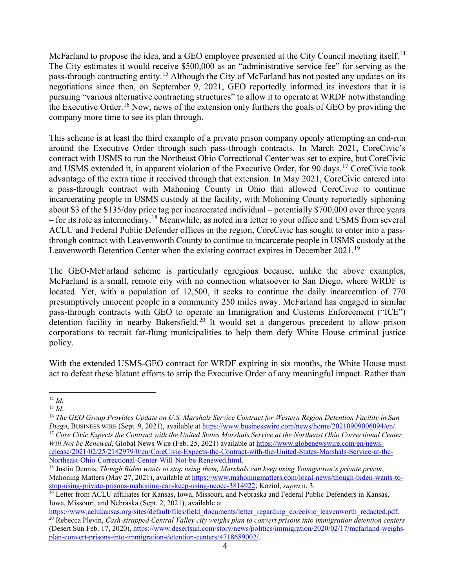McFarland to propose the idea, and a GEO employee presented at the City Council meeting itself.<sup>[14](#page-3-0)</sup> The City estimates it would receive \$500,000 as an "administrative service fee" for serving as the pass-through contracting entity.[15](#page-3-1) Although the City of McFarland has not posted any updates on its negotiations since then, on September 9, 2021, GEO reportedly informed its investors that it is pursuing "various alternative contracting structures" to allow it to operate at WRDF notwithstanding the Executive Order.<sup>[16](#page-3-2)</sup> Now, news of the extension only furthers the goals of GEO by providing the company more time to see its plan through.

This scheme is at least the third example of a private prison company openly attempting an end-run around the Executive Order through such pass-through contracts. In March 2021, CoreCivic's contract with USMS to run the Northeast Ohio Correctional Center was set to expire, but CoreCivic and USMS extended it, in apparent violation of the Executive Order, for 90 days.[17](#page-3-3) CoreCivic took advantage of the extra time it received through that extension. In May 2021, CoreCivic entered into a pass-through contract with Mahoning County in Ohio that allowed CoreCivic to continue incarcerating people in USMS custody at the facility, with Mohoning County reportedly siphoning about \$3 of the \$135/day price tag per incarcerated individual – potentially \$700,000 over three years – for its role as intermediary. [18](#page-3-4) Meanwhile, as noted in a letter to your office and USMS from several ACLU and Federal Public Defender offices in the region, CoreCivic has sought to enter into a passthrough contract with Leavenworth County to continue to incarcerate people in USMS custody at the Leavenworth Detention Center when the existing contract expires in December 2021.<sup>[19](#page-3-5)</sup>

The GEO-McFarland scheme is particularly egregious because, unlike the above examples, McFarland is a small, remote city with no connection whatsoever to San Diego, where WRDF is located. Yet, with a population of 12,500, it seeks to continue the daily incarceration of 770 presumptively innocent people in a community 250 miles away. McFarland has engaged in similar pass-through contracts with GEO to operate an Immigration and Customs Enforcement ("ICE") detention facility in nearby Bakersfield.<sup>[20](#page-3-6)</sup> It would set a dangerous precedent to allow prison corporations to recruit far-flung municipalities to help them defy White House criminal justice policy.

With the extended USMS-GEO contract for WRDF expiring in six months, the White House must act to defeat these blatant efforts to strip the Executive Order of any meaningful impact. Rather than

<span id="page-3-0"></span><sup>14</sup> *Id.*

<span id="page-3-1"></span><sup>15</sup> *Id.*

<span id="page-3-2"></span><sup>&</sup>lt;sup>16</sup> *The GEO Group Provides Update on U.S. Marshals Service Contract for Western Region Detention Facility in San Diego, Business wire (Sept. 9, 2021), available at https://www.businesswire.com/news/home/20210909006094/en* <sup>17</sup> Core Civic Expects the Contract with the United States Marshals Service at the Northeast Ohio Correctional Center *Will Not be Renewed*, Global News Wire (Feb. 25, 2021) available at [https://www.globenewswire.com/en/news-](https://www.globenewswire.com/en/news-release/2021/02/25/2182979/0/en/CoreCivic-Expects-the-Contract-with-the-United-States-Marshals-Service-at-the-Northeast-Ohio-Correctional-Center-Will-Not-be-Renewed.html)

<span id="page-3-3"></span>[release/2021/02/25/2182979/0/en/CoreCivic-Expects-the-Contract-with-the-United-States-Marshals-Service-at-the-](https://www.globenewswire.com/en/news-release/2021/02/25/2182979/0/en/CoreCivic-Expects-the-Contract-with-the-United-States-Marshals-Service-at-the-Northeast-Ohio-Correctional-Center-Will-Not-be-Renewed.html)[Northeast-Ohio-Correctional-Center-Will-Not-be-Renewed.html.](https://www.globenewswire.com/en/news-release/2021/02/25/2182979/0/en/CoreCivic-Expects-the-Contract-with-the-United-States-Marshals-Service-at-the-Northeast-Ohio-Correctional-Center-Will-Not-be-Renewed.html)

<span id="page-3-4"></span><sup>18</sup> Justin Dennis, *Though Biden wants to stop using them, Marshals can keep using Youngstown's private prison*, Mahoning Matters (May 27, 2021), available at https://www.mahoningmatters.com/local-news/though-biden-wants-to-<br>stop-using-private-prisons-mahoning-can-keep-using-neocc-3814922; Koziol, *supra* n. 3.

<span id="page-3-5"></span><sup>&</sup>lt;sup>19</sup> Letter from ACLU affiliates for Kansas, Iowa, Missouri, and Nebraska and Federal Public Defenders in Kansas, Iowa, Missouri, and Nebraska (Sept. 2, 2021), available at <br>https://www.aclukansas.org/sites/default/files/field documents/letter regarding corecivic leavenworth redacted.pdf.

<span id="page-3-6"></span> $^{20}$  Rebecca Plevin, Cash-strapped Central Valley city weighs plan to convert prisons into immigration detention centers (Desert Sun Feb. 17, 2020), [https://www.desertsun.com/story/news/politics/immigration/2020/02/17/mcfarland-weighs](https://www.desertsun.com/story/news/politics/immigration/2020/02/17/mcfarland-weighs-plan-convert-prisons-into-immigration-detention-centers/4718689002/)[plan-convert-prisons-into-immigration-detention-centers/4718689002/.](https://www.desertsun.com/story/news/politics/immigration/2020/02/17/mcfarland-weighs-plan-convert-prisons-into-immigration-detention-centers/4718689002/)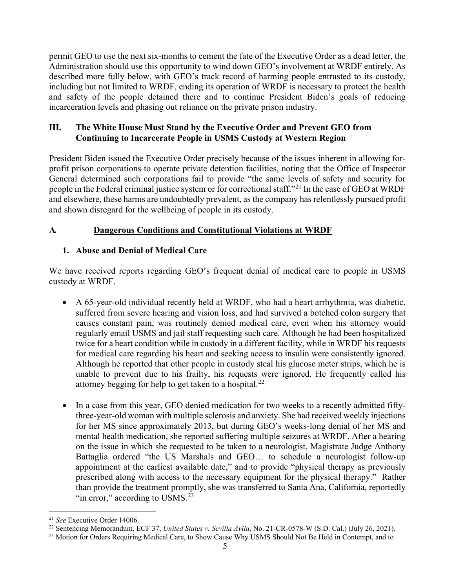permit GEO to use the next six-months to cement the fate of the Executive Order as a dead letter, the Administration should use this opportunity to wind down GEO's involvement at WRDF entirely. As described more fully below, with GEO's track record of harming people entrusted to its custody, including but not limited to WRDF, ending its operation of WRDF is necessary to protect the health and safety of the people detained there and to continue President Biden's goals of reducing incarceration levels and phasing out reliance on the private prison industry.

## **III. The White House Must Stand by the Executive Order and Prevent GEO from Continuing to Incarcerate People in USMS Custody at Western Region**

President Biden issued the Executive Order precisely because of the issues inherent in allowing forprofit prison corporations to operate private detention facilities, noting that the Office of Inspector General determined such corporations fail to provide "the same levels of safety and security for people in the Federal criminal justice system or for correctional staff."[21](#page-4-0) In the case of GEO at WRDF and elsewhere, these harms are undoubtedly prevalent, as the company has relentlessly pursued profit and shown disregard for the wellbeing of people in its custody.

## **A. Dangerous Conditions and Constitutional Violations at WRDF**

## **1. Abuse and Denial of Medical Care**

We have received reports regarding GEO's frequent denial of medical care to people in USMS custody at WRDF.

- A 65-year-old individual recently held at WRDF, who had a heart arrhythmia, was diabetic, suffered from severe hearing and vision loss, and had survived a botched colon surgery that causes constant pain, was routinely denied medical care, even when his attorney would regularly email USMS and jail staff requesting such care. Although he had been hospitalized twice for a heart condition while in custody in a different facility, while in WRDF his requests for medical care regarding his heart and seeking access to insulin were consistently ignored. Although he reported that other people in custody steal his glucose meter strips, which he is unable to prevent due to his frailty, his requests were ignored. He frequently called his attorney begging for help to get taken to a hospital.<sup>[22](#page-4-1)</sup>
- In a case from this year, GEO denied medication for two weeks to a recently admitted fiftythree-year-old woman with multiple sclerosis and anxiety. She had received weekly injections for her MS since approximately 2013, but during GEO's weeks-long denial of her MS and mental health medication, she reported suffering multiple seizures at WRDF. After a hearing on the issue in which she requested to be taken to a neurologist, Magistrate Judge Anthony Battaglia ordered "the US Marshals and GEO… to schedule a neurologist follow-up appointment at the earliest available date," and to provide "physical therapy as previously prescribed along with access to the necessary equipment for the physical therapy." Rather than provide the treatment promptly, she was transferred to Santa Ana, California, reportedly "in error," according to USMS. $^{23}$  $^{23}$  $^{23}$

<span id="page-4-0"></span><sup>21</sup> *See* Executive Order 14006.

<span id="page-4-1"></span><sup>22</sup> Sentencing Memorandum, ECF 37, *United States v. Sevilla Avila*, No. 21-CR-0578-W (S.D. Cal.) (July 26, 2021).

<span id="page-4-2"></span><sup>&</sup>lt;sup>23</sup> Motion for Orders Requiring Medical Care, to Show Cause Why USMS Should Not Be Held in Contempt, and to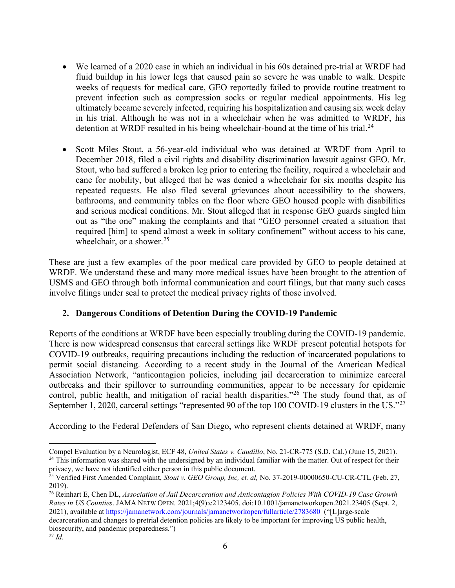- We learned of a 2020 case in which an individual in his 60s detained pre-trial at WRDF had fluid buildup in his lower legs that caused pain so severe he was unable to walk. Despite weeks of requests for medical care, GEO reportedly failed to provide routine treatment to prevent infection such as compression socks or regular medical appointments. His leg ultimately became severely infected, requiring his hospitalization and causing six week delay in his trial. Although he was not in a wheelchair when he was admitted to WRDF, his detention at WRDF resulted in his being wheelchair-bound at the time of his trial.<sup>[24](#page-5-0)</sup>
- Scott Miles Stout, a 56-year-old individual who was detained at WRDF from April to December 2018, filed a civil rights and disability discrimination lawsuit against GEO. Mr. Stout, who had suffered a broken leg prior to entering the facility, required a wheelchair and cane for mobility, but alleged that he was denied a wheelchair for six months despite his repeated requests. He also filed several grievances about accessibility to the showers, bathrooms, and community tables on the floor where GEO housed people with disabilities and serious medical conditions. Mr. Stout alleged that in response GEO guards singled him out as "the one" making the complaints and that "GEO personnel created a situation that required [him] to spend almost a week in solitary confinement" without access to his cane, wheelchair, or a shower.<sup>[25](#page-5-1)</sup>

These are just a few examples of the poor medical care provided by GEO to people detained at WRDF. We understand these and many more medical issues have been brought to the attention of USMS and GEO through both informal communication and court filings, but that many such cases involve filings under seal to protect the medical privacy rights of those involved.

## **2. Dangerous Conditions of Detention During the COVID-19 Pandemic**

Reports of the conditions at WRDF have been especially troubling during the COVID-19 pandemic. There is now widespread consensus that carceral settings like WRDF present potential hotspots for COVID-19 outbreaks, requiring precautions including the reduction of incarcerated populations to permit social distancing. According to a recent study in the Journal of the American Medical Association Network, "anticontagion policies, including jail decarceration to minimize carceral outbreaks and their spillover to surrounding communities, appear to be necessary for epidemic control, public health, and mitigation of racial health disparities."[26](#page-5-2) The study found that, as of September 1, 2020, carceral settings "represented 90 of the top 100 COVID-19 clusters in the US."<sup>[27](#page-5-3)</sup>

According to the Federal Defenders of San Diego, who represent clients detained at WRDF, many

<span id="page-5-0"></span>Compel Evaluation by a Neurologist, ECF 48, United States v. Caudillo, No. 21-CR-775 (S.D. Cal.) (June 15, 2021).<br><sup>24</sup> This information was shared with the undersigned by an individual familiar with the matter. Out of resp privacy, we have not identified either person in this public document.

<span id="page-5-1"></span><sup>&</sup>lt;sup>25</sup> Verified First Amended Complaint, *Stout v. GEO Group, Inc, et. al*, No. 37-2019-00000650-CU-CR-CTL (Feb. 27, 2019).

<span id="page-5-2"></span><sup>26</sup> Reinhart E, Chen DL, *Association of Jail Decarceration and Anticontagion Policies With COVID-19 Case Growth Rates in US Counties*. JAMA NETW OPEN*.* 2021;4(9):e2123405. doi:10.1001/jamanetworkopen.2021.23405 (Sept. 2, 2021), available a[t https://jamanetwork.com/journals/jamanetworkopen/fullarticle/2783680](https://jamanetwork.com/journals/jamanetworkopen/fullarticle/2783680) ("[L]arge-scale decarceration and changes to pretrial detention policies are likely to be important for improving US public health,

biosecurity, and pandemic preparedness.")

<span id="page-5-3"></span><sup>27</sup> *Id.*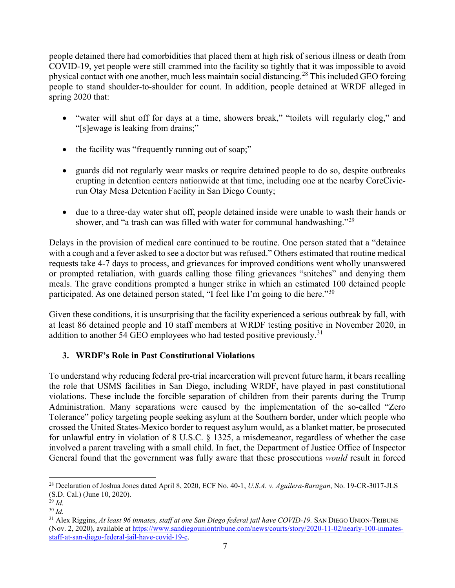people detained there had comorbidities that placed them at high risk of serious illness or death from COVID-19, yet people were still crammed into the facility so tightly that it was impossible to avoid physical contact with one another, much less maintain social distancing.[28](#page-6-0) This included GEO forcing people to stand shoulder-to-shoulder for count. In addition, people detained at WRDF alleged in spring 2020 that:

- "water will shut off for days at a time, showers break," "toilets will regularly clog," and "[s]ewage is leaking from drains;"
- the facility was "frequently running out of soap;"
- guards did not regularly wear masks or require detained people to do so, despite outbreaks erupting in detention centers nationwide at that time, including one at the nearby CoreCivicrun Otay Mesa Detention Facility in San Diego County;
- due to a three-day water shut off, people detained inside were unable to wash their hands or shower, and "a trash can was filled with water for communal handwashing."<sup>[29](#page-6-1)</sup>

Delays in the provision of medical care continued to be routine. One person stated that a "detainee with a cough and a fever asked to see a doctor but was refused." Others estimated that routine medical requests take 4-7 days to process, and grievances for improved conditions went wholly unanswered or prompted retaliation, with guards calling those filing grievances "snitches" and denying them meals. The grave conditions prompted a hunger strike in which an estimated 100 detained people participated. As one detained person stated, "I feel like I'm going to die here."[30](#page-6-2)

Given these conditions, it is unsurprising that the facility experienced a serious outbreak by fall, with at least 86 detained people and 10 staff members at WRDF testing positive in November 2020, in addition to another 54 GEO employees who had tested positive previously.<sup>[31](#page-6-3)</sup>

# **3. WRDF's Role in Past Constitutional Violations**

To understand why reducing federal pre-trial incarceration will prevent future harm, it bears recalling the role that USMS facilities in San Diego, including WRDF, have played in past constitutional violations. These include the forcible separation of children from their parents during the Trump Administration. Many separations were caused by the implementation of the so-called "Zero Tolerance" policy targeting people seeking asylum at the Southern border, under which people who crossed the United States-Mexico border to request asylum would, as a blanket matter, be prosecuted for unlawful entry in violation of 8 U.S.C. § 1325, a misdemeanor, regardless of whether the case involved a parent traveling with a small child. In fact, the Department of Justice Office of Inspector General found that the government was fully aware that these prosecutions *would* result in forced

<span id="page-6-0"></span><sup>28</sup> Declaration of Joshua Jones dated April 8, 2020, ECF No. 40-1, *U.S.A. v. Aguilera-Baragan*, No. 19-CR-3017-JLS (S.D. Cal.) (June 10, 2020).

<span id="page-6-1"></span><sup>29</sup> *Id.*

<span id="page-6-2"></span><sup>30</sup> *Id.*

<span id="page-6-3"></span><sup>&</sup>lt;sup>31</sup> Alex Riggins, *At least 96 inmates, staff at one San Diego federal jail have COVID-19.* SAN DIEGO UNION-TRIBUNE (Nov. 2, 2020), available at [https://www.sandiegouniontribune.com/news/courts/story/2020-11-02/nearly-100-inmates](https://www.sandiegouniontribune.com/news/courts/story/2020-11-02/nearly-100-inmates-staff-at-san-diego-federal-jail-have-covid-19-c)[staff-at-san-diego-federal-jail-have-covid-19-c.](https://www.sandiegouniontribune.com/news/courts/story/2020-11-02/nearly-100-inmates-staff-at-san-diego-federal-jail-have-covid-19-c)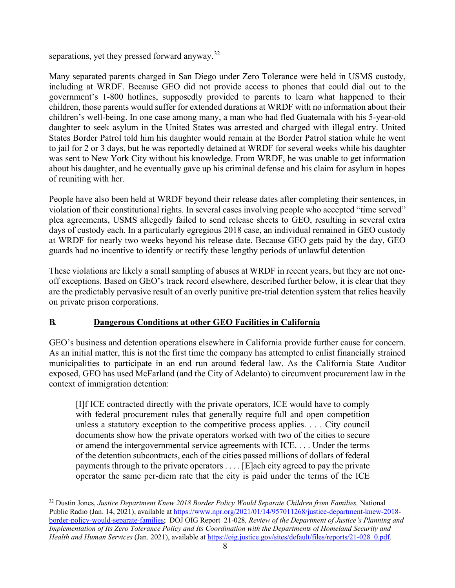separations, yet they pressed forward anyway.<sup>[32](#page-7-0)</sup>

Many separated parents charged in San Diego under Zero Tolerance were held in USMS custody, including at WRDF. Because GEO did not provide access to phones that could dial out to the government's 1-800 hotlines, supposedly provided to parents to learn what happened to their children, those parents would suffer for extended durations at WRDF with no information about their children's well-being. In one case among many, a man who had fled Guatemala with his 5-year-old daughter to seek asylum in the United States was arrested and charged with illegal entry. United States Border Patrol told him his daughter would remain at the Border Patrol station while he went to jail for 2 or 3 days, but he was reportedly detained at WRDF for several weeks while his daughter was sent to New York City without his knowledge. From WRDF, he was unable to get information about his daughter, and he eventually gave up his criminal defense and his claim for asylum in hopes of reuniting with her.

People have also been held at WRDF beyond their release dates after completing their sentences, in violation of their constitutional rights. In several cases involving people who accepted "time served" plea agreements, USMS allegedly failed to send release sheets to GEO, resulting in several extra days of custody each. In a particularly egregious 2018 case, an individual remained in GEO custody at WRDF for nearly two weeks beyond his release date. Because GEO gets paid by the day, GEO guards had no incentive to identify or rectify these lengthy periods of unlawful detention

These violations are likely a small sampling of abuses at WRDF in recent years, but they are not oneoff exceptions. Based on GEO's track record elsewhere, described further below, it is clear that they are the predictably pervasive result of an overly punitive pre-trial detention system that relies heavily on private prison corporations.

## **B. Dangerous Conditions at other GEO Facilities in California**

GEO's business and detention operations elsewhere in California provide further cause for concern. As an initial matter, this is not the first time the company has attempted to enlist financially strained municipalities to participate in an end run around federal law. As the California State Auditor exposed, GEO has used McFarland (and the City of Adelanto) to circumvent procurement law in the context of immigration detention:

[I]f ICE contracted directly with the private operators, ICE would have to comply with federal procurement rules that generally require full and open competition unless a statutory exception to the competitive process applies. . . . City council documents show how the private operators worked with two of the cities to secure or amend the intergovernmental service agreements with ICE. . . . Under the terms of the detention subcontracts, each of the cities passed millions of dollars of federal payments through to the private operators . . . . [E]ach city agreed to pay the private operator the same per-diem rate that the city is paid under the terms of the ICE

<span id="page-7-0"></span><sup>32</sup> Dustin Jones, *Justice Department Knew 2018 Border Policy Would Separate Children from Families,* National Public Radio (Jan. 14, 2021), available a[t https://www.npr.org/2021/01/14/957011268/justice-department-knew-2018](https://www.npr.org/2021/01/14/957011268/justice-department-knew-2018-border-policy-would-separate-families) [border-policy-would-separate-families;](https://www.npr.org/2021/01/14/957011268/justice-department-knew-2018-border-policy-would-separate-families) DOJ OIG Report 21-028*, Review of the Department of Justice's Planning and Implementation of Its Zero Tolerance Policy and Its Coordination with the Departments of Homeland Security and Health and Human Services* (Jan. 2021), available at [https://oig.justice.gov/sites/default/files/reports/21-028\\_0.pdf.](https://oig.justice.gov/sites/default/files/reports/21-028_0.pdf)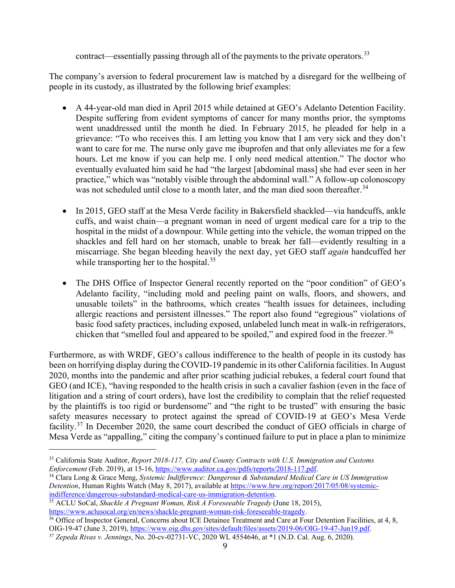contract—essentially passing through all of the payments to the private operators.<sup>[33](#page-8-0)</sup>

The company's aversion to federal procurement law is matched by a disregard for the wellbeing of people in its custody, as illustrated by the following brief examples:

- A 44-year-old man died in April 2015 while detained at GEO's Adelanto Detention Facility. Despite suffering from evident symptoms of cancer for many months prior, the symptoms went unaddressed until the month he died. In February 2015, he pleaded for help in a grievance: "To who receives this. I am letting you know that I am very sick and they don't want to care for me. The nurse only gave me ibuprofen and that only alleviates me for a few hours. Let me know if you can help me. I only need medical attention." The doctor who eventually evaluated him said he had "the largest [abdominal mass] she had ever seen in her practice," which was "notably visible through the abdominal wall." A follow-up colonoscopy was not scheduled until close to a month later, and the man died soon thereafter.<sup>[34](#page-8-1)</sup>
- In 2015, GEO staff at the Mesa Verde facility in Bakersfield shackled—via handcuffs, ankle cuffs, and waist chain—a pregnant woman in need of urgent medical care for a trip to the hospital in the midst of a downpour. While getting into the vehicle, the woman tripped on the shackles and fell hard on her stomach, unable to break her fall—evidently resulting in a miscarriage. She began bleeding heavily the next day, yet GEO staff *again* handcuffed her while transporting her to the hospital.<sup>[35](#page-8-2)</sup>
- The DHS Office of Inspector General recently reported on the "poor condition" of GEO's Adelanto facility, "including mold and peeling paint on walls, floors, and showers, and unusable toilets" in the bathrooms, which creates "health issues for detainees, including allergic reactions and persistent illnesses." The report also found "egregious" violations of basic food safety practices, including exposed, unlabeled lunch meat in walk-in refrigerators, chicken that "smelled foul and appeared to be spoiled," and expired food in the freezer.<sup>[36](#page-8-3)</sup>

Furthermore, as with WRDF, GEO's callous indifference to the health of people in its custody has been on horrifying display during the COVID-19 pandemic in its other California facilities. In August 2020, months into the pandemic and after prior scathing judicial rebukes, a federal court found that GEO (and ICE), "having responded to the health crisis in such a cavalier fashion (even in the face of litigation and a string of court orders), have lost the credibility to complain that the relief requested by the plaintiffs is too rigid or burdensome" and "the right to be trusted" with ensuring the basic safety measures necessary to protect against the spread of COVID-19 at GEO's Mesa Verde facility.[37](#page-8-4) In December 2020, the same court described the conduct of GEO officials in charge of Mesa Verde as "appalling," citing the company's continued failure to put in place a plan to minimize

<span id="page-8-0"></span><sup>33</sup> California State Auditor, *Report 2018-117, City and County Contracts with U.S. Immigration and Customs Enforcement* (Feb. 2019), at 15-16, [https://www.auditor.ca.gov/pdfs/reports/2018-117.pdf.](https://www.auditor.ca.gov/pdfs/reports/2018-117.pdf)

<span id="page-8-1"></span><sup>34</sup> Clara Long & Grace Meng, *Systemic Indifference: Dangerous & Substandard Medical Care in US Immigration Detention*, Human Rights Watch (May 8, 2017), available at [https://www.hrw.org/report/2017/05/08/systemic](https://www.hrw.org/report/2017/05/08/systemic-indifference/dangerous-substandard-medical-care-us-immigration-detention)[indifference/dangerous-substandard-medical-care-us-immigration-detention.](https://www.hrw.org/report/2017/05/08/systemic-indifference/dangerous-substandard-medical-care-us-immigration-detention)

<span id="page-8-2"></span><sup>35</sup> ACLU SoCal, *Shackle A Pregnant Woman, Risk A Foreseeable Tragedy* (June 18, 2015), [https://www.aclusocal.org/en/news/shackle-pregnant-woman-risk-foreseeable-tragedy.](https://www.aclusocal.org/en/news/shackle-pregnant-woman-risk-foreseeable-tragedy)

<span id="page-8-3"></span><sup>&</sup>lt;sup>36</sup> Office of Inspector General, Concerns about ICE Detainee Treatment and Care at Four Detention Facilities, at 4, 8, OIG-19-47 (June 3, 2019), [https://www.oig.dhs.gov/sites/default/files/assets/2019-06/OIG-19-47-Jun19.pdf.](https://www.oig.dhs.gov/sites/default/files/assets/2019-06/OIG-19-47-Jun19.pdf)

<span id="page-8-4"></span><sup>37</sup> *Zepeda Rivas v. Jennings*, No. 20-cv-02731-VC, 2020 WL 4554646, at \*1 (N.D. Cal. Aug. 6, 2020).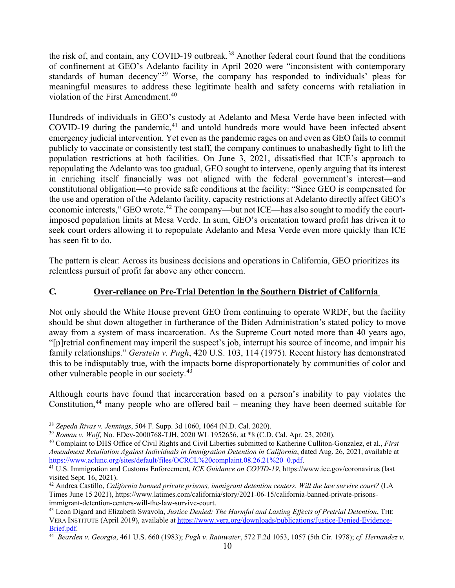the risk of, and contain, any COVID-19 outbreak.<sup>[38](#page-9-0)</sup> Another federal court found that the conditions of confinement at GEO's Adelanto facility in April 2020 were "inconsistent with contemporary standards of human decency<sup>[39](#page-9-1)</sup> Worse, the company has responded to individuals' pleas for meaningful measures to address these legitimate health and safety concerns with retaliation in violation of the First Amendment.<sup>[40](#page-9-2)</sup>

Hundreds of individuals in GEO's custody at Adelanto and Mesa Verde have been infected with COVID-19 during the pandemic, $41$  and untold hundreds more would have been infected absent emergency judicial intervention. Yet even as the pandemic rages on and even as GEO fails to commit publicly to vaccinate or consistently test staff, the company continues to unabashedly fight to lift the population restrictions at both facilities. On June 3, 2021, dissatisfied that ICE's approach to repopulating the Adelanto was too gradual, GEO sought to intervene, openly arguing that its interest in enriching itself financially was not aligned with the federal government's interest—and constitutional obligation—to provide safe conditions at the facility: "Since GEO is compensated for the use and operation of the Adelanto facility, capacity restrictions at Adelanto directly affect GEO's economic interests," GEO wrote.<sup>[42](#page-9-4)</sup> The company—but not ICE—has also sought to modify the courtimposed population limits at Mesa Verde. In sum, GEO's orientation toward profit has driven it to seek court orders allowing it to repopulate Adelanto and Mesa Verde even more quickly than ICE has seen fit to do.

The pattern is clear: Across its business decisions and operations in California, GEO prioritizes its relentless pursuit of profit far above any other concern.

#### **C. Over-reliance on Pre-Trial Detention in the Southern District of California**

Not only should the White House prevent GEO from continuing to operate WRDF, but the facility should be shut down altogether in furtherance of the Biden Administration's stated policy to move away from a system of mass incarceration. As the Supreme Court noted more than 40 years ago, "[p]retrial confinement may imperil the suspect's job, interrupt his source of income, and impair his family relationships." *Gerstein v. Pugh*, 420 U.S. 103, 114 (1975). Recent history has demonstrated this to be indisputably true, with the impacts borne disproportionately by communities of color and other vulnerable people in our society.[43](#page-9-5)

Although courts have found that incarceration based on a person's inability to pay violates the Constitution,<sup>[44](#page-9-6)</sup> many people who are offered bail – meaning they have been deemed suitable for

<span id="page-9-0"></span><sup>38</sup> *Zepeda Rivas v. Jennings*, 504 F. Supp. 3d 1060, 1064 (N.D. Cal. 2020).

<span id="page-9-1"></span><sup>39</sup> *Roman v. Wolf*, No. EDcv-2000768-TJH, 2020 WL 1952656, at \*8 (C.D. Cal. Apr. 23, 2020).

<span id="page-9-2"></span><sup>40</sup> Complaint to DHS Office of Civil Rights and Civil Liberties submitted to Katherine Culliton-Gonzalez, et al., *First Amendment Retaliation Against Individuals in Immigration Detention in California*, dated Aug. 26, 2021, available at [https://www.aclunc.org/sites/default/files/OCRCL%20complaint.08.26.21%20\\_0.pdf.](https://www.aclunc.org/sites/default/files/OCRCL%20complaint.08.26.21%20_0.pdf)

<span id="page-9-3"></span><sup>41</sup> U.S. Immigration and Customs Enforcement, *ICE Guidance on COVID-19*, https://www.ice.gov/coronavirus (last visited Sept. 16, 2021).

<span id="page-9-4"></span><sup>42</sup> Andrea Castillo, *California banned private prisons, immigrant detention centers. Will the law survive court?* (LA Times June 15 2021), https://www.latimes.com/california/story/2021-06-15/california-banned-private-prisons-

<span id="page-9-5"></span><sup>&</sup>lt;sup>43</sup> Leon Digard and Elizabeth Swavola, *Justice Denied: The Harmful and Lasting Effects of Pretrial Detention*, THE VERA INSTITUTE (April 2019), available at https://www.vera.org/downloads/publications/Justice-Denied-Evidence-<br>Brief.pdf.

<span id="page-9-6"></span>[Brief.pdf.](https://www.vera.org/downloads/publications/Justice-Denied-Evidence-Brief.pdf) 44 *Bearden v. Georgia*, 461 U.S. 660 (1983); *Pugh v. Rainwater*, 572 F.2d 1053, 1057 (5th Cir. 1978); *cf. Hernandez v.*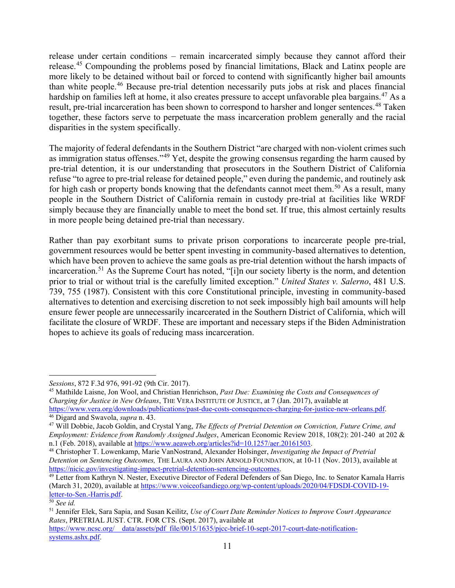release under certain conditions – remain incarcerated simply because they cannot afford their release.[45](#page-10-0) Compounding the problems posed by financial limitations, Black and Latinx people are more likely to be detained without bail or forced to contend with significantly higher bail amounts than white people.[46](#page-10-1) Because pre-trial detention necessarily puts jobs at risk and places financial hardship on families left at home, it also creates pressure to accept unfavorable plea bargains.[47](#page-10-2) As a result, pre-trial incarceration has been shown to correspond to harsher and longer sentences.<sup>[48](#page-10-3)</sup> Taken together, these factors serve to perpetuate the mass incarceration problem generally and the racial disparities in the system specifically.

The majority of federal defendants in the Southern District "are charged with non-violent crimes such as immigration status offenses."[49](#page-10-4) Yet, despite the growing consensus regarding the harm caused by pre-trial detention, it is our understanding that prosecutors in the Southern District of California refuse "to agree to pre-trial release for detained people," even during the pandemic, and routinely ask for high cash or property bonds knowing that the defendants cannot meet them.<sup>[50](#page-10-5)</sup> As a result, many people in the Southern District of California remain in custody pre-trial at facilities like WRDF simply because they are financially unable to meet the bond set. If true, this almost certainly results in more people being detained pre-trial than necessary.

Rather than pay exorbitant sums to private prison corporations to incarcerate people pre-trial, government resources would be better spent investing in community-based alternatives to detention, which have been proven to achieve the same goals as pre-trial detention without the harsh impacts of incarceration.<sup>[51](#page-10-6)</sup> As the Supreme Court has noted, "[i]n our society liberty is the norm, and detention prior to trial or without trial is the carefully limited exception." *United States v. Salerno*, 481 U.S. 739, 755 (1987). Consistent with this core Constitutional principle, investing in community-based alternatives to detention and exercising discretion to not seek impossibly high bail amounts will help ensure fewer people are unnecessarily incarcerated in the Southern District of California, which will facilitate the closure of WRDF. These are important and necessary steps if the Biden Administration hopes to achieve its goals of reducing mass incarceration.

<span id="page-10-0"></span>*Sessions*, 872 F.3d 976, 991-92 (9th Cir. 2017).<br><sup>45</sup> Mathilde Laisne, Jon Wool, and Christian Henrichson, *Past Due: Examining the Costs and Consequences of Charging for Justice in New Orleans*, THE VERA INSTITUTE OF JUSTICE, at 7 (Jan. 2017), available at [https://www.vera.org/downloads/publications/past-due-costs-consequences-charging-for-justice-new-orleans.pdf.](https://www.vera.org/downloads/publications/past-due-costs-consequences-charging-for-justice-new-orleans.pdf) 46 Digard and Swavola, *supra* n. 43.

<span id="page-10-1"></span>

<span id="page-10-2"></span><sup>47</sup> Will Dobbie, Jacob Goldin, and Crystal Yang, *The Effects of Pretrial Detention on Conviction, Future Crime, and Employment: Evidence from Randomly Assigned Judges*, American Economic Review 2018, 108(2): 201-240 at 202 &

<span id="page-10-3"></span><sup>&</sup>lt;sup>48</sup> Christopher T. Lowenkamp, Marie VanNostrand, Alexander Holsinger, *Investigating the Impact of Pretrial Detention on Sentencing Outcomes,* THE LAURA AND JOHN ARNOLD FOUNDATION, at 10-11 (Nov. 2013), available at https://nicic.gov/investigating-impact-pretrial-detention-sentencing-outcomes.

<span id="page-10-4"></span><sup>&</sup>lt;sup>49</sup> Letter from Kathryn N. Nester, Executive Director of Federal Defenders of San Diego, Inc. to Senator Kamala Harris (March 31, 2020), available a[t https://www.voiceofsandiego.org/wp-content/uploads/2020/04/FDSDI-COVID-19](https://www.voiceofsandiego.org/wp-content/uploads/2020/04/FDSDI-COVID-19-letter-to-Sen.-Harris.pdf) [letter-to-Sen.-Harris.pdf.](https://www.voiceofsandiego.org/wp-content/uploads/2020/04/FDSDI-COVID-19-letter-to-Sen.-Harris.pdf) 50 *See id.* 

<span id="page-10-5"></span>

<span id="page-10-6"></span><sup>51</sup> Jennifer Elek, Sara Sapia, and Susan Keilitz, *Use of Court Date Reminder Notices to Improve Court Appearance Rates*, PRETRIAL JUST. CTR. FOR CTS. (Sept. 2017), available at

https://www.ncsc.org/\_\_data/assets/pdf\_file/0015/1635/picc-brief-10-sept-2017-court-date-notification[systems.ashx.pdf.](https://www.ncsc.org/__data/assets/pdf_file/0015/1635/pjcc-brief-10-sept-2017-court-date-notification-systems.ashx.pdf)